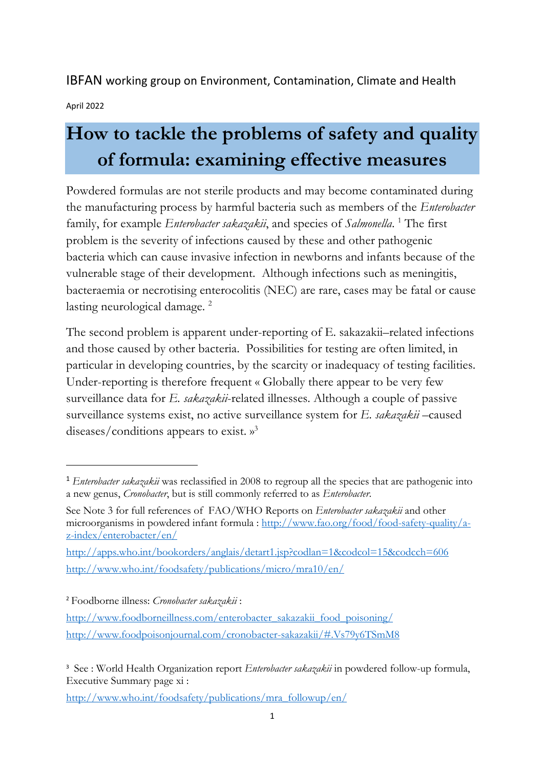IBFAN working group on Environment, Contamination, Climate and Health

April 2022

# **How to tackle the problems of safety and quality of formula: examining effective measures**

Powdered formulas are not sterile products and may become contaminated during the manufacturing process by harmful bacteria such as members of the *Enterobacter*  family, for example *Enterobacter sakazakii*, and species of *Salmonella*.<sup>1</sup> The first problem is the severity of infections caused by these and other pathogenic bacteria which can cause invasive infection in newborns and infants because of the vulnerable stage of their development. Although infections such as meningitis, bacteraemia or necrotising enterocolitis (NEC) are rare, cases may be fatal or cause lasting neurological damage.<sup>2</sup>

The second problem is apparent under-reporting of E. sakazakii–related infections and those caused by other bacteria. Possibilities for testing are often limited, in particular in developing countries, by the scarcity or inadequacy of testing facilities. Under-reporting is therefore frequent « Globally there appear to be very few surveillance data for *E. sakazakii*-related illnesses. Although a couple of passive surveillance systems exist, no active surveillance system for *E. sakazakii* –caused diseases/conditions appears to exist. »<sup>3</sup>

<sup>2</sup> Foodborne illness: *Cronobacter sakazakii* :

<sup>1</sup> *Enterobacter sakazakii* was reclassified in 2008 to regroup all the species that are pathogenic into a new genus, *Cronobacter*, but is still commonly referred to as *Enterobacter*.

See Note 3 for full references of FAO/WHO Reports on *Enterobacter sakazakii* and other microorganisms in powdered infant formula : http://www.fao.org/food/food-safety-quality/az-index/enterobacter/en/

http://apps.who.int/bookorders/anglais/detart1.jsp?codlan=1&codcol=15&codcch=606 http://www.who.int/foodsafety/publications/micro/mra10/en/

http://www.foodborneillness.com/enterobacter\_sakazakii\_food\_poisoning/ http://www.foodpoisonjournal.com/cronobacter-sakazakii/#.Vs79y6TSmM8

<sup>&</sup>lt;sup>3</sup> See : World Health Organization report *Enterobacter sakazakii* in powdered follow-up formula, Executive Summary page xi :

http://www.who.int/foodsafety/publications/mra\_followup/en/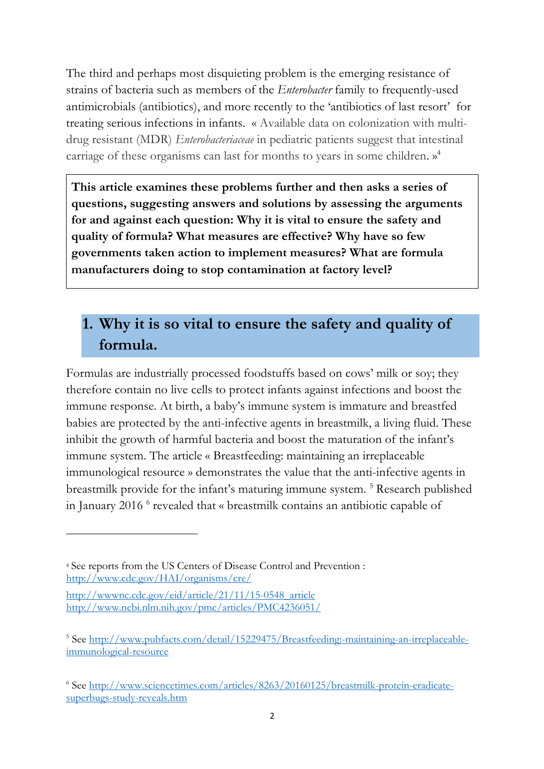The third and perhaps most disquieting problem is the emerging resistance of strains of bacteria such as members of the *Enterobacter* family to frequently-used antimicrobials (antibiotics), and more recently to the 'antibiotics of last resort' for treating serious infections in infants. « Available data on colonization with multidrug resistant (MDR) *Enterobacteriaceae* in pediatric patients suggest that intestinal carriage of these organisms can last for months to years in some children. » 4

**This article examines these problems further and then asks a series of questions, suggesting answers and solutions by assessing the arguments for and against each question: Why it is vital to ensure the safety and quality of formula? What measures are effective? Why have so few governments taken action to implement measures? What are formula manufacturers doing to stop contamination at factory level?**

# **1. Why it is so vital to ensure the safety and quality of formula.**

Formulas are industrially processed foodstuffs based on cows' milk or soy; they therefore contain no live cells to protect infants against infections and boost the immune response. At birth, a baby's immune system is immature and breastfed babies are protected by the anti-infective agents in breastmilk, a living fluid. These inhibit the growth of harmful bacteria and boost the maturation of the infant's immune system. The article « Breastfeeding: maintaining an irreplaceable immunological resource » demonstrates the value that the anti-infective agents in breastmilk provide for the infant's maturing immune system. 5 Research published in January 2016 6 revealed that « breastmilk contains an antibiotic capable of

<sup>4</sup> See reports from the US Centers of Disease Control and Prevention : http://www.cdc.gov/HAI/organisms/cre/

http://wwwnc.cdc.gov/eid/article/21/11/15-0548\_article http://www.ncbi.nlm.nih.gov/pmc/articles/PMC4236051/

<sup>&</sup>lt;sup>5</sup> See http://www.pubfacts.com/detail/15229475/Breastfeeding:-maintaining-an-irreplaceableimmunological-resource

<sup>6</sup> See http://www.sciencetimes.com/articles/8263/20160125/breastmilk-protein-eradicatesuperbugs-study-reveals.htm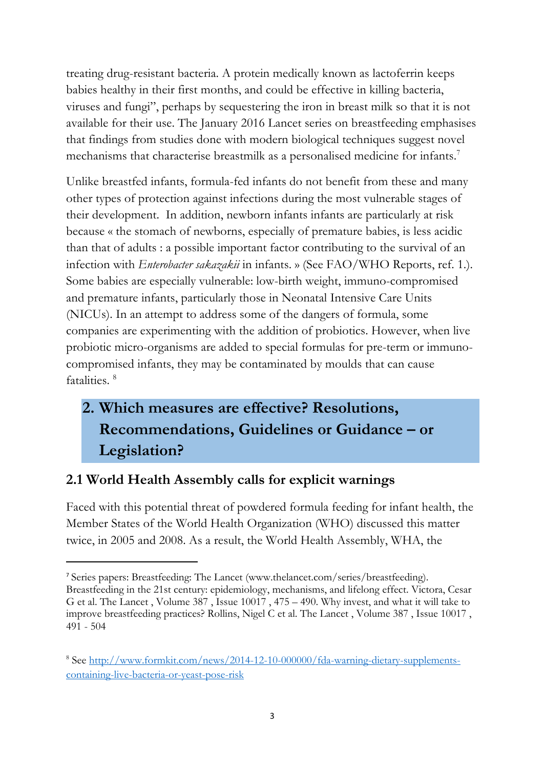treating drug-resistant bacteria. A protein medically known as lactoferrin keeps babies healthy in their first months, and could be effective in killing bacteria, viruses and fungi", perhaps by sequestering the iron in breast milk so that it is not available for their use. The January 2016 Lancet series on breastfeeding emphasises that findings from studies done with modern biological techniques suggest novel mechanisms that characterise breastmilk as a personalised medicine for infants.<sup>7</sup>

Unlike breastfed infants, formula-fed infants do not benefit from these and many other types of protection against infections during the most vulnerable stages of their development. In addition, newborn infants infants are particularly at risk because « the stomach of newborns, especially of premature babies, is less acidic than that of adults : a possible important factor contributing to the survival of an infection with *Enterobacter sakazakii* in infants. » (See FAO/WHO Reports, ref. 1.). Some babies are especially vulnerable: low-birth weight, immuno-compromised and premature infants, particularly those in Neonatal Intensive Care Units (NICUs). In an attempt to address some of the dangers of formula, some companies are experimenting with the addition of probiotics. However, when live probiotic micro-organisms are added to special formulas for pre-term or immunocompromised infants, they may be contaminated by moulds that can cause fatalities. <sup>8</sup>

# **2. Which measures are effective? Resolutions, Recommendations, Guidelines or Guidance – or Legislation?**

# **2.1 World Health Assembly calls for explicit warnings**

Faced with this potential threat of powdered formula feeding for infant health, the Member States of the World Health Organization (WHO) discussed this matter twice, in 2005 and 2008. As a result, the World Health Assembly, WHA, the

<sup>7</sup> Series papers: Breastfeeding: The Lancet (www.thelancet.com/series/breastfeeding). Breastfeeding in the 21st century: epidemiology, mechanisms, and lifelong effect. Victora, Cesar G et al. The Lancet , Volume 387 , Issue 10017 , 475 – 490. Why invest, and what it will take to improve breastfeeding practices? Rollins, Nigel C et al. The Lancet , Volume 387 , Issue 10017 , 491 - 504

<sup>8</sup> See http://www.formkit.com/news/2014-12-10-000000/fda-warning-dietary-supplementscontaining-live-bacteria-or-yeast-pose-risk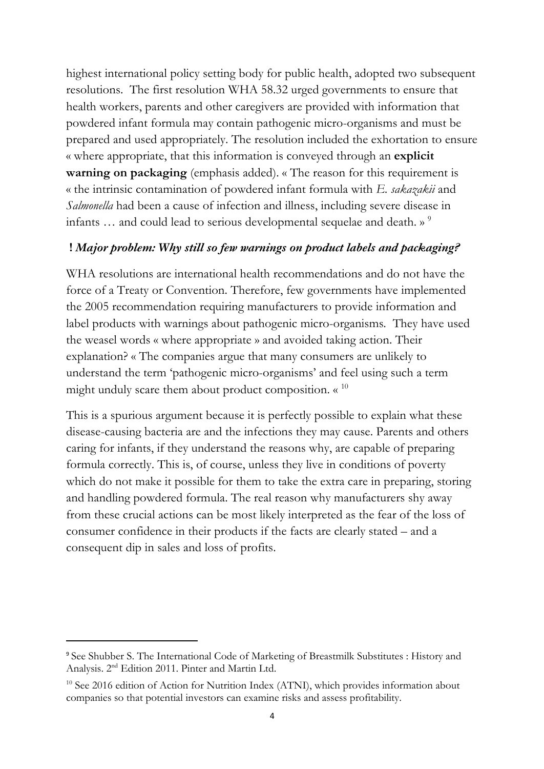highest international policy setting body for public health, adopted two subsequent resolutions. The first resolution WHA 58.32 urged governments to ensure that health workers, parents and other caregivers are provided with information that powdered infant formula may contain pathogenic micro-organisms and must be prepared and used appropriately. The resolution included the exhortation to ensure « where appropriate, that this information is conveyed through an **explicit warning on packaging** (emphasis added). « The reason for this requirement is « the intrinsic contamination of powdered infant formula with *E. sakazakii* and *Salmonella* had been a cause of infection and illness, including severe disease in infants ... and could lead to serious developmental sequelae and death. »<sup>9</sup>

#### **!** *Major problem: Why still so few warnings on product labels and packaging?*

WHA resolutions are international health recommendations and do not have the force of a Treaty or Convention. Therefore, few governments have implemented the 2005 recommendation requiring manufacturers to provide information and label products with warnings about pathogenic micro-organisms*.* They have used the weasel words « where appropriate » and avoided taking action. Their explanation? « The companies argue that many consumers are unlikely to understand the term 'pathogenic micro-organisms' and feel using such a term might unduly scare them about product composition.  $\alpha^{10}$ 

This is a spurious argument because it is perfectly possible to explain what these disease-causing bacteria are and the infections they may cause. Parents and others caring for infants, if they understand the reasons why, are capable of preparing formula correctly. This is, of course, unless they live in conditions of poverty which do not make it possible for them to take the extra care in preparing, storing and handling powdered formula. The real reason why manufacturers shy away from these crucial actions can be most likely interpreted as the fear of the loss of consumer confidence in their products if the facts are clearly stated – and a consequent dip in sales and loss of profits.

<sup>9</sup> See Shubber S. The International Code of Marketing of Breastmilk Substitutes : History and Analysis. 2nd Edition 2011. Pinter and Martin Ltd.

<sup>&</sup>lt;sup>10</sup> See 2016 edition of Action for Nutrition Index (ATNI), which provides information about companies so that potential investors can examine risks and assess profitability.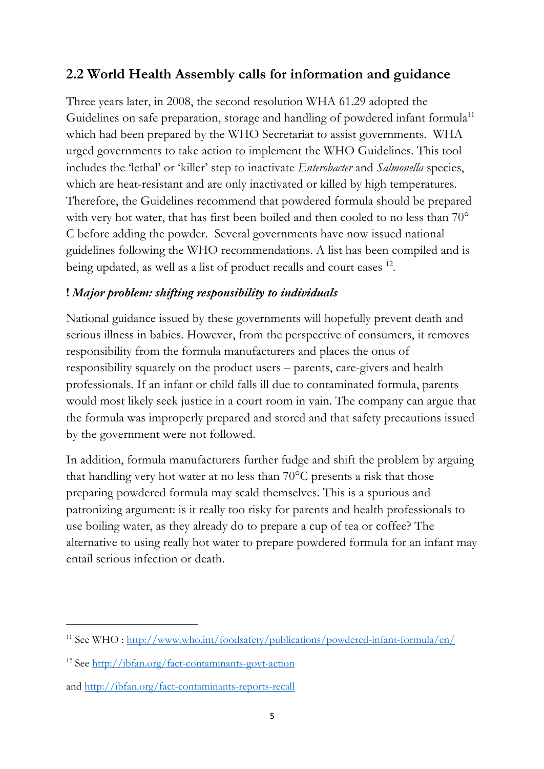### **2.2 World Health Assembly calls for information and guidance**

Three years later, in 2008, the second resolution WHA 61.29 adopted the Guidelines on safe preparation, storage and handling of powdered infant formula<sup>11</sup> which had been prepared by the WHO Secretariat to assist governments. WHA urged governments to take action to implement the WHO Guidelines. This tool includes the 'lethal' or 'killer' step to inactivate *Enterobacter* and *Salmonella* species, which are heat-resistant and are only inactivated or killed by high temperatures. Therefore, the Guidelines recommend that powdered formula should be prepared with very hot water, that has first been boiled and then cooled to no less than 70° C before adding the powder. Several governments have now issued national guidelines following the WHO recommendations. A list has been compiled and is being updated, as well as a list of product recalls and court cases <sup>12</sup>.

#### **!** *Major problem: shifting responsibility to individuals*

National guidance issued by these governments will hopefully prevent death and serious illness in babies. However, from the perspective of consumers, it removes responsibility from the formula manufacturers and places the onus of responsibility squarely on the product users – parents, care-givers and health professionals. If an infant or child falls ill due to contaminated formula, parents would most likely seek justice in a court room in vain. The company can argue that the formula was improperly prepared and stored and that safety precautions issued by the government were not followed.

In addition, formula manufacturers further fudge and shift the problem by arguing that handling very hot water at no less than 70°C presents a risk that those preparing powdered formula may scald themselves. This is a spurious and patronizing argument: is it really too risky for parents and health professionals to use boiling water, as they already do to prepare a cup of tea or coffee? The alternative to using really hot water to prepare powdered formula for an infant may entail serious infection or death.

<sup>&</sup>lt;sup>11</sup> See WHO : http://www.who.int/foodsafety/publications/powdered-infant-formula/en/

<sup>12</sup> See http://ibfan.org/fact-contaminants-govt-action

and http://ibfan.org/fact-contaminants-reports-recall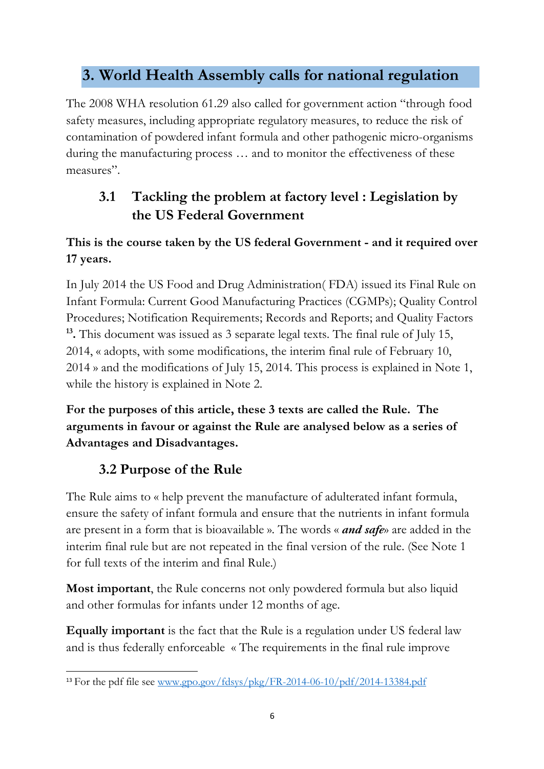# **3. World Health Assembly calls for national regulation**

The 2008 WHA resolution 61.29 also called for government action "through food safety measures, including appropriate regulatory measures, to reduce the risk of contamination of powdered infant formula and other pathogenic micro-organisms during the manufacturing process … and to monitor the effectiveness of these measures".

# **3.1 Tackling the problem at factory level : Legislation by the US Federal Government**

### **This is the course taken by the US federal Government - and it required over 17 years.**

In July 2014 the US Food and Drug Administration( FDA) issued its Final Rule on Infant Formula: Current Good Manufacturing Practices (CGMPs); Quality Control Procedures; Notification Requirements; Records and Reports; and Quality Factors **13.** This document was issued as 3 separate legal texts. The final rule of July 15, 2014, « adopts, with some modifications, the interim final rule of February 10, 2014 » and the modifications of July 15, 2014. This process is explained in Note 1, while the history is explained in Note 2.

**For the purposes of this article, these 3 texts are called the Rule. The arguments in favour or against the Rule are analysed below as a series of Advantages and Disadvantages.**

# **3.2 Purpose of the Rule**

The Rule aims to « help prevent the manufacture of adulterated infant formula, ensure the safety of infant formula and ensure that the nutrients in infant formula are present in a form that is bioavailable ». The words « *and safe*» are added in the interim final rule but are not repeated in the final version of the rule. (See Note 1 for full texts of the interim and final Rule.)

**Most important**, the Rule concerns not only powdered formula but also liquid and other formulas for infants under 12 months of age.

**Equally important** is the fact that the Rule is a regulation under US federal law and is thus federally enforceable « The requirements in the final rule improve

<sup>&</sup>lt;sup>13</sup> For the pdf file see www.gpo.gov/fdsys/pkg/FR-2014-06-10/pdf/2014-13384.pdf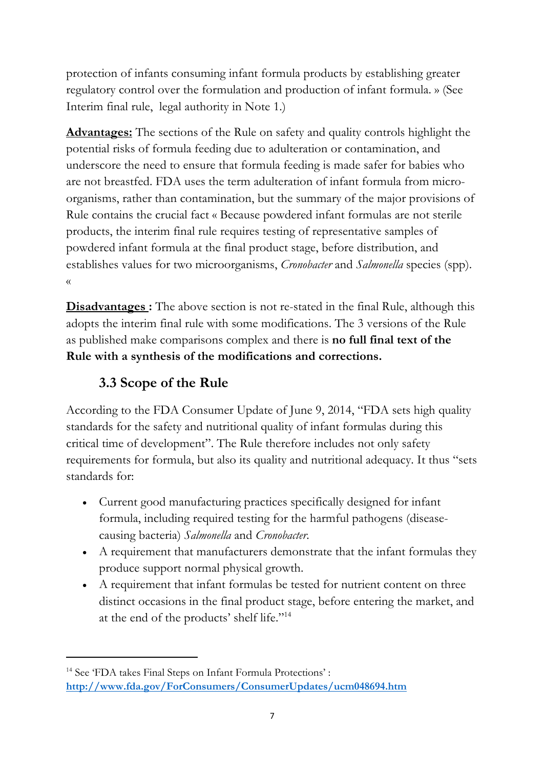protection of infants consuming infant formula products by establishing greater regulatory control over the formulation and production of infant formula. » (See Interim final rule, legal authority in Note 1.)

**Advantages:** The sections of the Rule on safety and quality controls highlight the potential risks of formula feeding due to adulteration or contamination, and underscore the need to ensure that formula feeding is made safer for babies who are not breastfed. FDA uses the term adulteration of infant formula from microorganisms, rather than contamination, but the summary of the major provisions of Rule contains the crucial fact « Because powdered infant formulas are not sterile products, the interim final rule requires testing of representative samples of powdered infant formula at the final product stage, before distribution, and establishes values for two microorganisms, *Cronobacter* and *Salmonella* species (spp). «

**Disadvantages**: The above section is not re-stated in the final Rule, although this adopts the interim final rule with some modifications. The 3 versions of the Rule as published make comparisons complex and there is **no full final text of the Rule with a synthesis of the modifications and corrections.** 

# **3.3 Scope of the Rule**

According to the FDA Consumer Update of June 9, 2014, "FDA sets high quality standards for the safety and nutritional quality of infant formulas during this critical time of development". The Rule therefore includes not only safety requirements for formula, but also its quality and nutritional adequacy. It thus "sets standards for:

- Current good manufacturing practices specifically designed for infant formula, including required testing for the harmful pathogens (diseasecausing bacteria) *Salmonella* and *Cronobacter*.
- A requirement that manufacturers demonstrate that the infant formulas they produce support normal physical growth.
- A requirement that infant formulas be tested for nutrient content on three distinct occasions in the final product stage, before entering the market, and at the end of the products' shelf life."14

<sup>&</sup>lt;sup>14</sup> See 'FDA takes Final Steps on Infant Formula Protections': **http://www.fda.gov/ForConsumers/ConsumerUpdates/ucm048694.htm**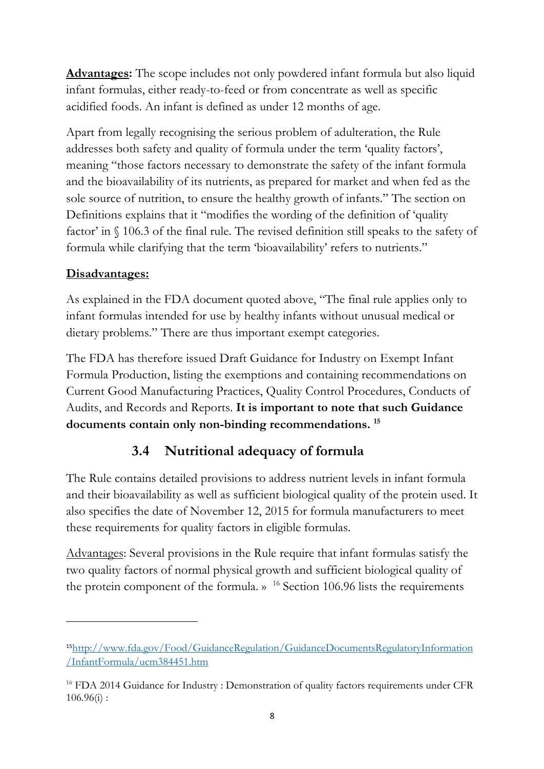**Advantages:** The scope includes not only powdered infant formula but also liquid infant formulas, either ready-to-feed or from concentrate as well as specific acidified foods. An infant is defined as under 12 months of age.

Apart from legally recognising the serious problem of adulteration, the Rule addresses both safety and quality of formula under the term 'quality factors', meaning "those factors necessary to demonstrate the safety of the infant formula and the bioavailability of its nutrients, as prepared for market and when fed as the sole source of nutrition, to ensure the healthy growth of infants." The section on Definitions explains that it "modifies the wording of the definition of 'quality factor' in § 106.3 of the final rule. The revised definition still speaks to the safety of formula while clarifying that the term 'bioavailability' refers to nutrients."

#### **Disadvantages:**

As explained in the FDA document quoted above, "The final rule applies only to infant formulas intended for use by healthy infants without unusual medical or dietary problems." There are thus important exempt categories.

The FDA has therefore issued Draft Guidance for Industry on Exempt Infant Formula Production, listing the exemptions and containing recommendations on Current Good Manufacturing Practices, Quality Control Procedures, Conducts of Audits, and Records and Reports. **It is important to note that such Guidance documents contain only non-binding recommendations. 15**

### **3.4 Nutritional adequacy of formula**

The Rule contains detailed provisions to address nutrient levels in infant formula and their bioavailability as well as sufficient biological quality of the protein used. It also specifies the date of November 12, 2015 for formula manufacturers to meet these requirements for quality factors in eligible formulas.

Advantages: Several provisions in the Rule require that infant formulas satisfy the two quality factors of normal physical growth and sufficient biological quality of the protein component of the formula.  $\frac{16}{16}$  Section 106.96 lists the requirements

<sup>15</sup>http://www.fda.gov/Food/GuidanceRegulation/GuidanceDocumentsRegulatoryInformation /InfantFormula/ucm384451.htm

<sup>&</sup>lt;sup>16</sup> FDA 2014 Guidance for Industry : Demonstration of quality factors requirements under CFR  $106.96(i)$ :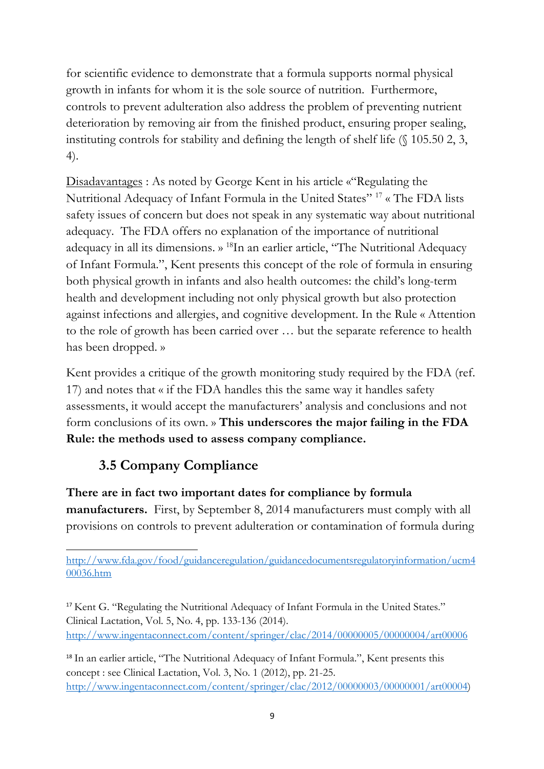for scientific evidence to demonstrate that a formula supports normal physical growth in infants for whom it is the sole source of nutrition. Furthermore, controls to prevent adulteration also address the problem of preventing nutrient deterioration by removing air from the finished product, ensuring proper sealing, instituting controls for stability and defining the length of shelf life (§ 105.50 2, 3, 4).

Disadavantages : As noted by George Kent in his article «"Regulating the Nutritional Adequacy of Infant Formula in the United States" 17 « The FDA lists safety issues of concern but does not speak in any systematic way about nutritional adequacy. The FDA offers no explanation of the importance of nutritional adequacy in all its dimensions. » 18In an earlier article, "The Nutritional Adequacy of Infant Formula.", Kent presents this concept of the role of formula in ensuring both physical growth in infants and also health outcomes: the child's long-term health and development including not only physical growth but also protection against infections and allergies, and cognitive development. In the Rule « Attention to the role of growth has been carried over … but the separate reference to health has been dropped. »

Kent provides a critique of the growth monitoring study required by the FDA (ref. 17) and notes that « if the FDA handles this the same way it handles safety assessments, it would accept the manufacturers' analysis and conclusions and not form conclusions of its own. » **This underscores the major failing in the FDA Rule: the methods used to assess company compliance.**

# **3.5 Company Compliance**

**There are in fact two important dates for compliance by formula manufacturers.** First, by September 8, 2014 manufacturers must comply with all provisions on controls to prevent adulteration or contamination of formula during

http://www.fda.gov/food/guidanceregulation/guidancedocumentsregulatoryinformation/ucm4 00036.htm

<sup>17</sup> Kent G. "Regulating the Nutritional Adequacy of Infant Formula in the United States." Clinical Lactation, Vol. 5, No. 4, pp. 133-136 (2014). http://www.ingentaconnect.com/content/springer/clac/2014/00000005/00000004/art00006

<sup>18</sup> In an earlier article, "The Nutritional Adequacy of Infant Formula.", Kent presents this concept : see Clinical Lactation, Vol. 3, No. 1 (2012), pp. 21-25. http://www.ingentaconnect.com/content/springer/clac/2012/00000003/00000001/art00004)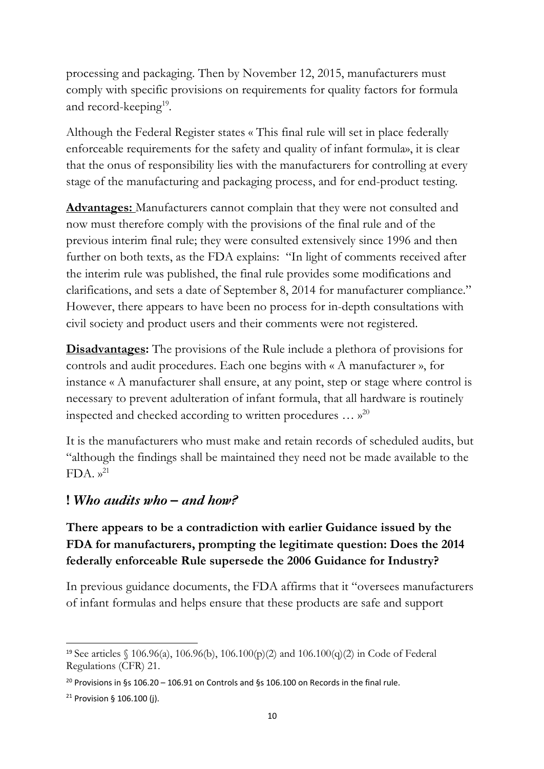processing and packaging. Then by November 12, 2015, manufacturers must comply with specific provisions on requirements for quality factors for formula and record-keeping<sup>19</sup>.

Although the Federal Register states « This final rule will set in place federally enforceable requirements for the safety and quality of infant formula», it is clear that the onus of responsibility lies with the manufacturers for controlling at every stage of the manufacturing and packaging process, and for end-product testing.

**Advantages:** Manufacturers cannot complain that they were not consulted and now must therefore comply with the provisions of the final rule and of the previous interim final rule; they were consulted extensively since 1996 and then further on both texts, as the FDA explains: "In light of comments received after the interim rule was published, the final rule provides some modifications and clarifications, and sets a date of September 8, 2014 for manufacturer compliance." However, there appears to have been no process for in-depth consultations with civil society and product users and their comments were not registered.

**Disadvantages:** The provisions of the Rule include a plethora of provisions for controls and audit procedures. Each one begins with « A manufacturer », for instance « A manufacturer shall ensure, at any point, step or stage where control is necessary to prevent adulteration of infant formula, that all hardware is routinely inspected and checked according to written procedures  $\ldots$   $\mathcal{R}^{20}$ 

It is the manufacturers who must make and retain records of scheduled audits, but "although the findings shall be maintained they need not be made available to the  $FDA. y<sup>21</sup>$ 

#### **!** *Who audits who – and how?*

### **There appears to be a contradiction with earlier Guidance issued by the FDA for manufacturers, prompting the legitimate question: Does the 2014 federally enforceable Rule supersede the 2006 Guidance for Industry?**

In previous guidance documents, the FDA affirms that it "oversees manufacturers of infant formulas and helps ensure that these products are safe and support

<sup>19</sup> See articles § 106.96(a), 106.96(b), 106.100(p)(2) and 106.100(q)(2) in Code of Federal Regulations (CFR) 21.

<sup>&</sup>lt;sup>20</sup> Provisions in §s 106.20 – 106.91 on Controls and §s 106.100 on Records in the final rule.

<sup>21</sup> Provision § 106.100 (j).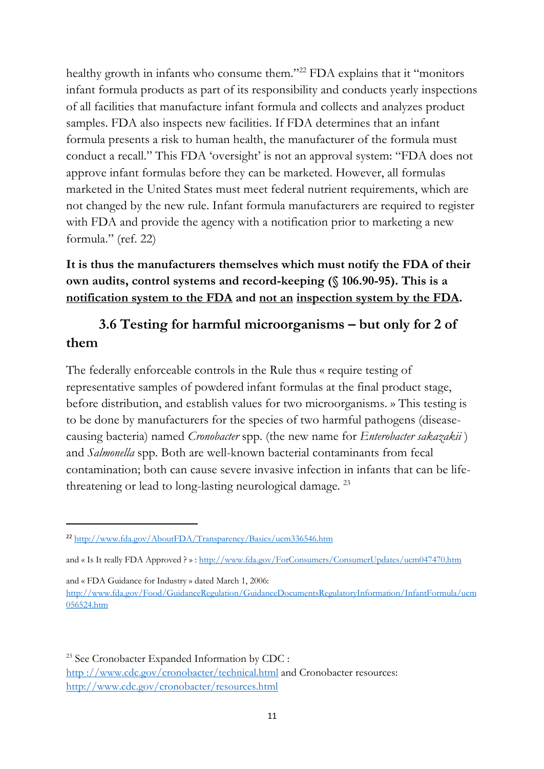healthy growth in infants who consume them."<sup>22</sup> FDA explains that it "monitors" infant formula products as part of its responsibility and conducts yearly inspections of all facilities that manufacture infant formula and collects and analyzes product samples. FDA also inspects new facilities. If FDA determines that an infant formula presents a risk to human health, the manufacturer of the formula must conduct a recall." This FDA 'oversight' is not an approval system: "FDA does not approve infant formulas before they can be marketed. However, all formulas marketed in the United States must meet federal nutrient requirements, which are not changed by the new rule. Infant formula manufacturers are required to register with FDA and provide the agency with a notification prior to marketing a new formula." (ref. 22)

#### **It is thus the manufacturers themselves which must notify the FDA of their own audits, control systems and record-keeping (§ 106.90-95). This is a notification system to the FDA and not an inspection system by the FDA.**

### **3.6 Testing for harmful microorganisms – but only for 2 of them**

The federally enforceable controls in the Rule thus « require testing of representative samples of powdered infant formulas at the final product stage, before distribution, and establish values for two microorganisms. » This testing is to be done by manufacturers for the species of two harmful pathogens (diseasecausing bacteria) named *Cronobacter* spp. (the new name for *Enterobacter sakazakii* ) and *Salmonella* spp. Both are well-known bacterial contaminants from fecal contamination; both can cause severe invasive infection in infants that can be lifethreatening or lead to long-lasting neurological damage.<sup>23</sup>

and « FDA Guidance for Industry » dated March 1, 2006: http://www.fda.gov/Food/GuidanceRegulation/GuidanceDocumentsRegulatoryInformation/InfantFormula/ucm 056524.htm

<sup>23</sup> See Cronobacter Expanded Information by CDC : http ://www.cdc.gov/cronobacter/technical.html and Cronobacter resources: http://www.cdc.gov/cronobacter/resources.html

<sup>22</sup> http://www.fda.gov/AboutFDA/Transparency/Basics/ucm336546.htm

and « Is It really FDA Approved ? » : http://www.fda.gov/ForConsumers/ConsumerUpdates/ucm047470.htm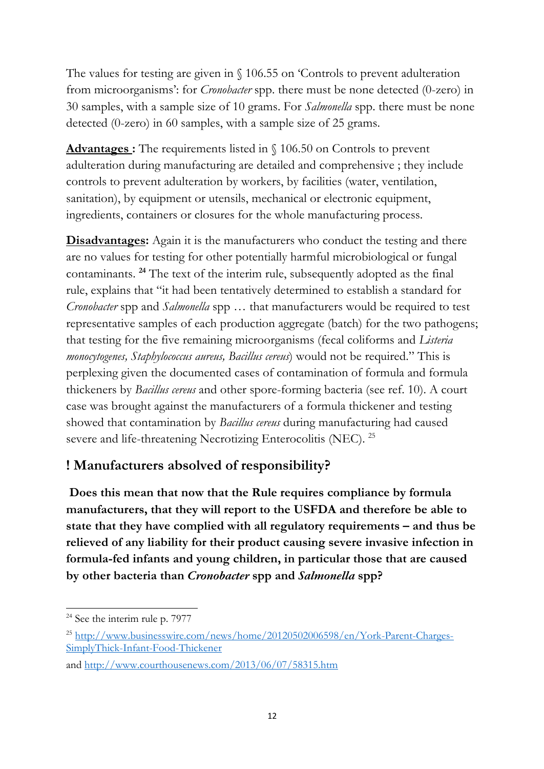The values for testing are given in § 106.55 on 'Controls to prevent adulteration from microorganisms': for *Cronobacter* spp. there must be none detected (0-zero) in 30 samples, with a sample size of 10 grams. For *Salmonella* spp. there must be none detected (0-zero) in 60 samples, with a sample size of 25 grams.

**Advantages :** The requirements listed in § 106.50 on Controls to prevent adulteration during manufacturing are detailed and comprehensive ; they include controls to prevent adulteration by workers, by facilities (water, ventilation, sanitation), by equipment or utensils, mechanical or electronic equipment, ingredients, containers or closures for the whole manufacturing process.

**Disadvantages:** Again it is the manufacturers who conduct the testing and there are no values for testing for other potentially harmful microbiological or fungal contaminants. **<sup>24</sup>** The text of the interim rule, subsequently adopted as the final rule, explains that "it had been tentatively determined to establish a standard for *Cronobacter* spp and *Salmonella* spp … that manufacturers would be required to test representative samples of each production aggregate (batch) for the two pathogens; that testing for the five remaining microorganisms (fecal coliforms and *Listeria monocytogenes, Staphylococcus aureus, Bacillus cereus*) would not be required." This is perplexing given the documented cases of contamination of formula and formula thickeners by *Bacillus cereus* and other spore-forming bacteria (see ref. 10). A court case was brought against the manufacturers of a formula thickener and testing showed that contamination by *Bacillus cereus* during manufacturing had caused severe and life-threatening Necrotizing Enterocolitis (NEC). <sup>25</sup>

### **! Manufacturers absolved of responsibility?**

**Does this mean that now that the Rule requires compliance by formula manufacturers, that they will report to the USFDA and therefore be able to state that they have complied with all regulatory requirements – and thus be relieved of any liability for their product causing severe invasive infection in formula-fed infants and young children, in particular those that are caused by other bacteria than** *Cronobacter* **spp and** *Salmonella* **spp?** 

 $24$  See the interim rule p. 7977

<sup>&</sup>lt;sup>25</sup> http://www.businesswire.com/news/home/20120502006598/en/York-Parent-Charges-SimplyThick-Infant-Food-Thickener

and http://www.courthousenews.com/2013/06/07/58315.htm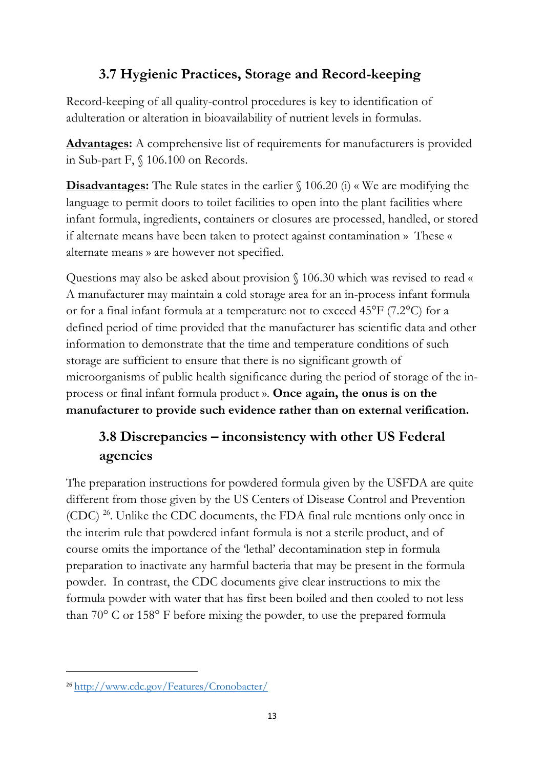# **3.7 Hygienic Practices, Storage and Record-keeping**

Record-keeping of all quality-control procedures is key to identification of adulteration or alteration in bioavailability of nutrient levels in formulas.

**Advantages:** A comprehensive list of requirements for manufacturers is provided in Sub-part F, § 106.100 on Records.

**Disadvantages:** The Rule states in the earlier  $\int$  106.20 (i) « We are modifying the language to permit doors to toilet facilities to open into the plant facilities where infant formula, ingredients, containers or closures are processed, handled, or stored if alternate means have been taken to protect against contamination » These « alternate means » are however not specified.

Questions may also be asked about provision § 106.30 which was revised to read « A manufacturer may maintain a cold storage area for an in-process infant formula or for a final infant formula at a temperature not to exceed 45°F (7.2°C) for a defined period of time provided that the manufacturer has scientific data and other information to demonstrate that the time and temperature conditions of such storage are sufficient to ensure that there is no significant growth of microorganisms of public health significance during the period of storage of the inprocess or final infant formula product ». **Once again, the onus is on the manufacturer to provide such evidence rather than on external verification.** 

# **3.8 Discrepancies – inconsistency with other US Federal agencies**

The preparation instructions for powdered formula given by the USFDA are quite different from those given by the US Centers of Disease Control and Prevention (CDC) 26. Unlike the CDC documents, the FDA final rule mentions only once in the interim rule that powdered infant formula is not a sterile product, and of course omits the importance of the 'lethal' decontamination step in formula preparation to inactivate any harmful bacteria that may be present in the formula powder. In contrast, the CDC documents give clear instructions to mix the formula powder with water that has first been boiled and then cooled to not less than 70° C or 158° F before mixing the powder, to use the prepared formula

<sup>26</sup> http://www.cdc.gov/Features/Cronobacter/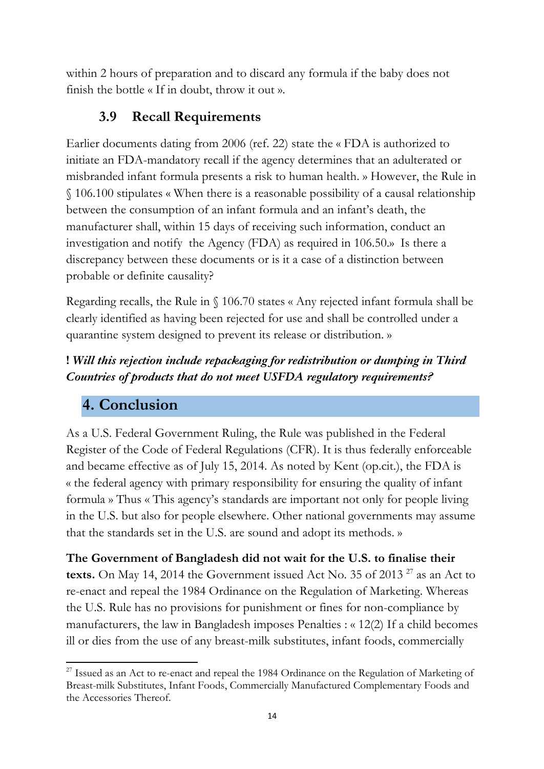within 2 hours of preparation and to discard any formula if the baby does not finish the bottle « If in doubt, throw it out ».

### **3.9 Recall Requirements**

Earlier documents dating from 2006 (ref. 22) state the « FDA is authorized to initiate an FDA-mandatory recall if the agency determines that an adulterated or misbranded infant formula presents a risk to human health. » However, the Rule in § 106.100 stipulates « When there is a reasonable possibility of a causal relationship between the consumption of an infant formula and an infant's death, the manufacturer shall, within 15 days of receiving such information, conduct an investigation and notify the Agency (FDA) as required in 106.50.» Is there a discrepancy between these documents or is it a case of a distinction between probable or definite causality?

Regarding recalls, the Rule in § 106.70 states « Any rejected infant formula shall be clearly identified as having been rejected for use and shall be controlled under a quarantine system designed to prevent its release or distribution. »

### **!** *Will this rejection include repackaging for redistribution or dumping in Third Countries of products that do not meet USFDA regulatory requirements?*

# **4. Conclusion**

As a U.S. Federal Government Ruling, the Rule was published in the Federal Register of the Code of Federal Regulations (CFR). It is thus federally enforceable and became effective as of July 15, 2014. As noted by Kent (op.cit.), the FDA is « the federal agency with primary responsibility for ensuring the quality of infant formula » Thus « This agency's standards are important not only for people living in the U.S. but also for people elsewhere. Other national governments may assume that the standards set in the U.S. are sound and adopt its methods. »

**The Government of Bangladesh did not wait for the U.S. to finalise their**  texts. On May 14, 2014 the Government issued Act No. 35 of 2013<sup>27</sup> as an Act to re-enact and repeal the 1984 Ordinance on the Regulation of Marketing. Whereas the U.S. Rule has no provisions for punishment or fines for non-compliance by manufacturers, the law in Bangladesh imposes Penalties : « 12(2) If a child becomes ill or dies from the use of any breast-milk substitutes, infant foods, commercially

<sup>&</sup>lt;sup>27</sup> Issued as an Act to re-enact and repeal the 1984 Ordinance on the Regulation of Marketing of Breast-milk Substitutes, Infant Foods, Commercially Manufactured Complementary Foods and the Accessories Thereof.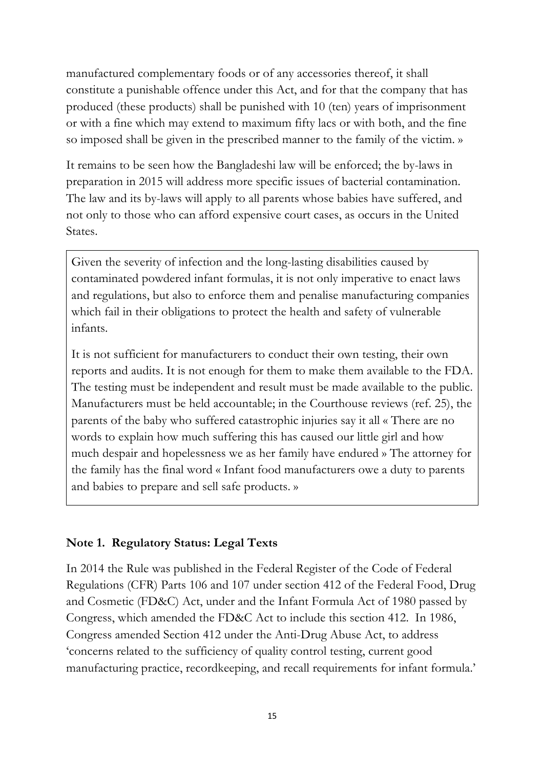manufactured complementary foods or of any accessories thereof, it shall constitute a punishable offence under this Act, and for that the company that has produced (these products) shall be punished with 10 (ten) years of imprisonment or with a fine which may extend to maximum fifty lacs or with both, and the fine so imposed shall be given in the prescribed manner to the family of the victim. »

It remains to be seen how the Bangladeshi law will be enforced; the by-laws in preparation in 2015 will address more specific issues of bacterial contamination. The law and its by-laws will apply to all parents whose babies have suffered, and not only to those who can afford expensive court cases, as occurs in the United States.

Given the severity of infection and the long-lasting disabilities caused by contaminated powdered infant formulas, it is not only imperative to enact laws and regulations, but also to enforce them and penalise manufacturing companies which fail in their obligations to protect the health and safety of vulnerable infants.

It is not sufficient for manufacturers to conduct their own testing, their own reports and audits. It is not enough for them to make them available to the FDA. The testing must be independent and result must be made available to the public. Manufacturers must be held accountable; in the Courthouse reviews (ref. 25), the parents of the baby who suffered catastrophic injuries say it all « There are no words to explain how much suffering this has caused our little girl and how much despair and hopelessness we as her family have endured » The attorney for the family has the final word « Infant food manufacturers owe a duty to parents and babies to prepare and sell safe products. »

#### **Note 1. Regulatory Status: Legal Texts**

In 2014 the Rule was published in the Federal Register of the Code of Federal Regulations (CFR) Parts 106 and 107 under section 412 of the Federal Food, Drug and Cosmetic (FD&C) Act, under and the Infant Formula Act of 1980 passed by Congress, which amended the FD&C Act to include this section 412. In 1986, Congress amended Section 412 under the Anti-Drug Abuse Act, to address 'concerns related to the sufficiency of quality control testing, current good manufacturing practice, recordkeeping, and recall requirements for infant formula.'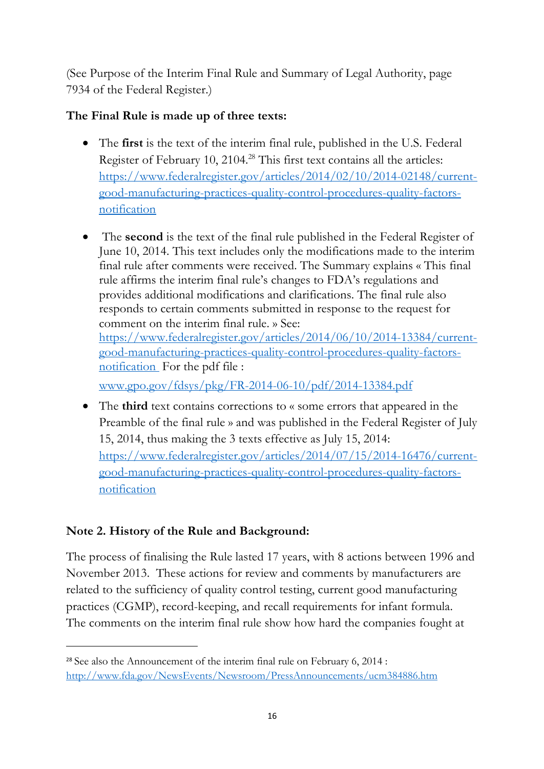(See Purpose of the Interim Final Rule and Summary of Legal Authority, page 7934 of the Federal Register.)

#### **The Final Rule is made up of three texts:**

- The **first** is the text of the interim final rule, published in the U.S. Federal Register of February 10, 2104.<sup>28</sup> This first text contains all the articles: https://www.federalregister.gov/articles/2014/02/10/2014-02148/currentgood-manufacturing-practices-quality-control-procedures-quality-factorsnotification
- The **second** is the text of the final rule published in the Federal Register of June 10, 2014. This text includes only the modifications made to the interim final rule after comments were received. The Summary explains « This final rule affirms the interim final rule's changes to FDA's regulations and provides additional modifications and clarifications. The final rule also responds to certain comments submitted in response to the request for comment on the interim final rule. » See: https://www.federalregister.gov/articles/2014/06/10/2014-13384/currentgood-manufacturing-practices-quality-control-procedures-quality-factorsnotification For the pdf file :

www.gpo.gov/fdsys/pkg/FR-2014-06-10/pdf/2014-13384.pdf

• The **third** text contains corrections to « some errors that appeared in the Preamble of the final rule » and was published in the Federal Register of July 15, 2014, thus making the 3 texts effective as July 15, 2014: https://www.federalregister.gov/articles/2014/07/15/2014-16476/currentgood-manufacturing-practices-quality-control-procedures-quality-factorsnotification

### **Note 2. History of the Rule and Background:**

The process of finalising the Rule lasted 17 years, with 8 actions between 1996 and November 2013. These actions for review and comments by manufacturers are related to the sufficiency of quality control testing, current good manufacturing practices (CGMP), record-keeping, and recall requirements for infant formula. The comments on the interim final rule show how hard the companies fought at

<sup>&</sup>lt;sup>28</sup> See also the Announcement of the interim final rule on February 6, 2014 : http://www.fda.gov/NewsEvents/Newsroom/PressAnnouncements/ucm384886.htm